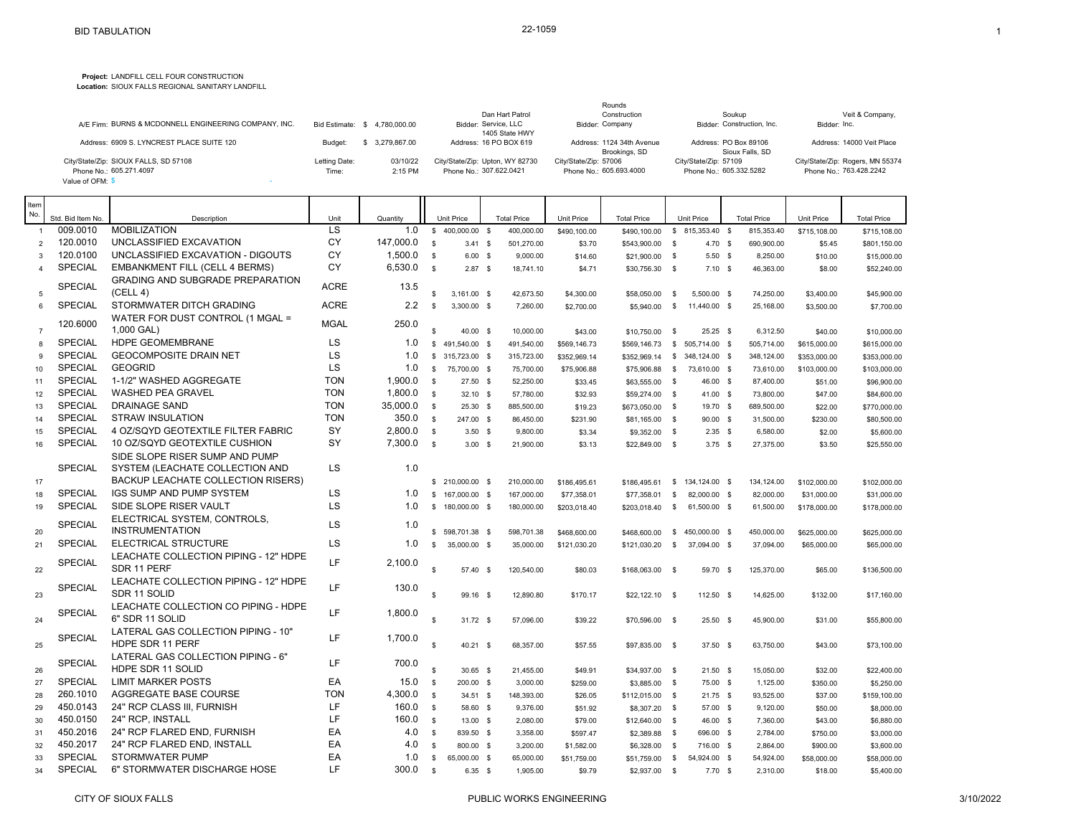**Project:** LANDFILL CELL FOUR CONSTRUCTION

**Location:** SIOUX FALLS REGIONAL SANITARY LANDFILL

| A/E Firm: BURNS & MCDONNELL ENGINEERING COMPANY, INC. |               | Bid Estimate: \$4.780,000,00 | Dan Hart Patrol<br>Bidder: Service, LLC | Rounds<br>Construction<br>Bidder: Company  | Soukup<br>Bidder: Construction, Inc.     | Veit & Company,<br>Bidder: Inc.  |
|-------------------------------------------------------|---------------|------------------------------|-----------------------------------------|--------------------------------------------|------------------------------------------|----------------------------------|
|                                                       |               |                              | 1405 State HWY                          |                                            |                                          |                                  |
| Address: 6909 S. LYNCREST PLACE SUITE 120             | Budget:       | 3.279.867.00                 | Address: 16 PO BOX 619                  | Address: 1124 34th Avenue<br>Brookings, SD | Address: PO Box 89106<br>Sioux Falls, SD | Address: 14000 Veit Place        |
| City/State/Zip: SIOUX FALLS, SD 57108                 | Letting Date: | 03/10/22                     | City/State/Zip: Upton, WY 82730         | City/State/Zip: 57006                      | City/State/Zip: 57109                    | City/State/Zip: Rogers, MN 55374 |
| Phone No.: 605.271.4097<br>Value of OFM: \$           | Time:         | 2:15 PM                      | Phone No.: 307.622.0421                 | Phone No.: 605.693.4000                    | Phone No.: 605.332.5282                  | Phone No.: 763.428.2242          |

| Item<br>No.    | Std. Bid Item No. | Description                                                    |             |                 |                    | <b>Unit Price</b> | <b>Total Price</b> | <b>Unit Price</b> | <b>Total Price</b> |              | Unit Price       | <b>Total Price</b> | Unit Price   | <b>Total Price</b> |
|----------------|-------------------|----------------------------------------------------------------|-------------|-----------------|--------------------|-------------------|--------------------|-------------------|--------------------|--------------|------------------|--------------------|--------------|--------------------|
| $\overline{1}$ | 009.0010          | <b>MOBILIZATION</b>                                            | Unit<br>LS  | Quantity<br>1.0 | $\mathbb{S}$       | 400,000.00 \$     | 400,000.00         | \$490,100.00      | \$490,100.00       |              | $$815,353.40$ \$ | 815,353.40         | \$715,108.00 | \$715,108.00       |
| $\overline{2}$ | 120.0010          | UNCLASSIFIED EXCAVATION                                        | CY          | 147,000.0       | $\mathbf{s}$       | $3.41$ \$         | 501.270.00         | \$3.70            | \$543,900.00       | $^{\circ}$   | $4.70$ \$        | 690.900.00         | \$5.45       | \$801,150.00       |
| $\mathcal{R}$  | 120.0100          | UNCLASSIFIED EXCAVATION - DIGOUTS                              | CY          | 1,500.0         | $\mathbf{s}$       | $6.00$ \$         | 9,000.00           | \$14.60           | \$21,900.00        | $^{\circ}$   | $5.50$ \$        | 8,250.00           | \$10.00      | \$15,000.00        |
| $\overline{4}$ | <b>SPECIAL</b>    | <b>EMBANKMENT FILL (CELL 4 BERMS)</b>                          | CY          | 6,530.0         | $\mathfrak s$      | $2.87$ \$         | 18,741.10          | \$4.71            | \$30,756.30        | $^{\circ}$   | $7.10$ \$        | 46,363.00          | \$8.00       | \$52,240.00        |
| 5              | <b>SPECIAL</b>    | <b>GRADING AND SUBGRADE PREPARATION</b><br>(CELL 4)            | <b>ACRE</b> | 13.5            | $\mathbf{s}$       | $3,161.00$ \$     | 42,673.50          | \$4,300.00        | \$58,050.00        | \$           | 5,500.00 \$      | 74,250.00          | \$3,400.00   | \$45,900.00        |
| 6              | <b>SPECIAL</b>    | STORMWATER DITCH GRADING                                       | <b>ACRE</b> | 2.2             | $\mathfrak s$      | $3,300.00$ \$     | 7,260.00           | \$2,700.00        | \$5,940.00         | $\mathbf s$  | 11,440.00 \$     | 25,168.00          | \$3,500.00   | \$7,700.00         |
| $\overline{7}$ | 120.6000          | WATER FOR DUST CONTROL (1 MGAL =<br>1,000 GAL)                 | <b>MGAL</b> | 250.0           | $\mathbf{s}$       | 40.00 \$          | 10,000.00          | \$43.00           | \$10,750.00        | $\mathbf s$  | $25.25$ \$       | 6,312.50           | \$40.00      | \$10,000.00        |
| $\mathbf{R}$   | <b>SPECIAL</b>    | <b>HDPE GEOMEMBRANE</b>                                        | <b>LS</b>   | 1.0             | $\mathbb{S}$       | 491.540.00 \$     | 491.540.00         | \$569,146.73      | \$569,146.73       |              | \$ 505,714.00 \$ | 505.714.00         | \$615,000.00 | \$615,000.00       |
| 9              | <b>SPECIAL</b>    | <b>GEOCOMPOSITE DRAIN NET</b>                                  | LS          | 1.0             | \$                 | 315,723.00 \$     | 315,723.00         | \$352,969.14      | \$352,969.14       |              | \$ 348,124.00 \$ | 348,124.00         | \$353,000.00 | \$353,000.00       |
| 10             | <b>SPECIAL</b>    | <b>GEOGRID</b>                                                 | <b>LS</b>   | 1.0             | $\mathbb{S}$       | 75,700.00 \$      | 75,700.00          | \$75,906.88       | \$75,906.88        | $^{\circ}$   | 73.610.00 \$     | 73.610.00          | \$103,000.00 | \$103,000.00       |
| 11             | <b>SPECIAL</b>    | 1-1/2" WASHED AGGREGATE                                        | <b>TON</b>  | 1,900.0         | $\mathbf{s}$       | $27.50$ \$        | 52,250.00          | \$33.45           | \$63,555.00        | $^{\circ}$   | 46.00 \$         | 87,400.00          | \$51.00      | \$96,900.00        |
| 12             | <b>SPECIAL</b>    | <b>WASHED PEA GRAVEL</b>                                       | <b>TON</b>  | 1,800.0         | $\mathfrak s$      | $32.10$ \$        | 57,780.00          | \$32.93           | \$59,274.00        | $\mathbf s$  | 41.00 \$         | 73,800.00          | \$47.00      | \$84,600.00        |
| 13             | <b>SPECIAL</b>    | <b>DRAINAGE SAND</b>                                           | <b>TON</b>  | 35,000.0        | $\mathbf{s}$       | $25.30$ \$        | 885,500.00         | \$19.23           | \$673,050.00       | $^{\circ}$   | 19.70 \$         | 689,500.00         | \$22.00      | \$770,000.00       |
| 14             | <b>SPECIAL</b>    | STRAW INSULATION                                               | <b>TON</b>  | 350.0           | $\mathbf{s}$       | 247.00 \$         | 86,450.00          | \$231.90          | \$81,165.00        | $^{\circ}$   | $90.00$ \$       | 31,500.00          | \$230.00     | \$80,500.00        |
| 15             | <b>SPECIAL</b>    | 4 OZ/SQYD GEOTEXTILE FILTER FABRIC                             | SY          | 2,800.0         | $\mathbf{s}$       | $3.50$ \$         | 9.800.00           | \$3.34            | \$9,352.00         | $^{\circ}$   | $2.35$ \$        | 6,580.00           | \$2.00       | \$5,600.00         |
| 16             | <b>SPECIAL</b>    | 10 OZ/SQYD GEOTEXTILE CUSHION                                  | SY          | 7,300.0         | $\mathbf{s}$       | $3.00$ \$         | 21.900.00          | \$3.13            | \$22,849.00        | $^{\circ}$   | 3.75S            | 27.375.00          | \$3.50       | \$25,550.00        |
|                |                   | SIDE SLOPE RISER SUMP AND PUMP                                 |             |                 |                    |                   |                    |                   |                    |              |                  |                    |              |                    |
|                | <b>SPECIAL</b>    | SYSTEM (LEACHATE COLLECTION AND                                | <b>LS</b>   | 1.0             |                    |                   |                    |                   |                    |              |                  |                    |              |                    |
| 17             |                   | <b>BACKUP LEACHATE COLLECTION RISERS)</b>                      |             |                 |                    | \$ 210,000.00 \$  | 210,000.00         | \$186,495.61      | \$186,495.61       |              | \$ 134,124.00 \$ | 134,124.00         | \$102,000.00 | \$102,000.00       |
| 18             | <b>SPECIAL</b>    | IGS SUMP AND PUMP SYSTEM                                       | LS          | 1.0             |                    | \$167,000.00\$    | 167,000.00         | \$77,358.01       | \$77,358.01        | $^{\circ}$   | 82,000.00 \$     | 82,000.00          | \$31,000.00  | \$31,000.00        |
| 19             | <b>SPECIAL</b>    | SIDE SLOPE RISER VAULT                                         | <b>LS</b>   | 1.0             |                    | \$180,000.00\$    | 180,000.00         | \$203,018.40      | \$203,018.40       | $\mathbf{s}$ | 61,500.00 \$     | 61,500.00          | \$178,000.00 | \$178,000.00       |
| 20             | <b>SPECIAL</b>    | ELECTRICAL SYSTEM, CONTROLS,<br><b>INSTRUMENTATION</b>         | <b>LS</b>   | 1.0             |                    | \$ 598,701.38 \$  | 598,701.38         | \$468,600.00      | \$468,600.00       |              | $$450,000.00$ \$ | 450,000.00         | \$625,000.00 | \$625,000.00       |
| 21             | <b>SPECIAL</b>    | ELECTRICAL STRUCTURE                                           | LS          | 1.0             | \$                 | 35,000.00 \$      | 35,000.00          | \$121.030.20      | \$121,030.20       | $^{\circ}$   | 37.094.00 \$     | 37.094.00          | \$65,000.00  | \$65,000.00        |
| 22             | <b>SPECIAL</b>    | LEACHATE COLLECTION PIPING - 12" HDPE<br>SDR 11 PERF           | LF.         | 2,100.0         | $\mathbf{s}$       | 57.40             | \$<br>120.540.00   | \$80.03           | \$168,063.00       | - \$         | 59.70 \$         | 125.370.00         | \$65.00      | \$136,500.00       |
| 23             | <b>SPECIAL</b>    | LEACHATE COLLECTION PIPING - 12" HDPE<br>SDR 11 SOLID          | LF          | 130.0           | $\mathbf{s}$       | 99.16 \$          | 12.890.80          | \$170.17          | $$22.122.10$ \$    |              | 112.50 \$        | 14.625.00          | \$132.00     | \$17,160.00        |
| 24             | <b>SPECIAL</b>    | LEACHATE COLLECTION CO PIPING - HDPE<br>6" SDR 11 SOLID        | LF          | 1,800.0         | $\mathbf{\hat{z}}$ | $31.72$ \$        | 57,096.00          | \$39.22           | \$70,596.00 \$     |              | $25.50$ \$       | 45,900.00          | \$31.00      | \$55,800.00        |
| 25             | <b>SPECIAL</b>    | LATERAL GAS COLLECTION PIPING - 10"<br><b>HDPE SDR 11 PERF</b> | LF.         | 1,700.0         | $\mathbf{R}$       | $40.21$ \$        | 68,357.00          | \$57.55           | \$97,835.00        | $\mathbf{s}$ | 37.50 \$         | 63,750.00          | \$43.00      | \$73,100.00        |
| 26             | <b>SPECIAL</b>    | LATERAL GAS COLLECTION PIPING - 6"<br>HDPE SDR 11 SOLID        | LF.         | 700.0           | $\mathbf{\hat{z}}$ | $30.65$ \$        | 21.455.00          | \$49.91           | \$34,937.00        | $\mathbf{s}$ | $21.50$ \$       | 15,050.00          | \$32.00      | \$22,400.00        |
| 27             | <b>SPECIAL</b>    | <b>LIMIT MARKER POSTS</b>                                      | EA          | 15.0            | $\mathfrak s$      | 200.00 \$         | 3,000.00           | \$259.00          | \$3,885.00 \$      |              | 75.00 \$         | 1,125.00           | \$350.00     | \$5,250.00         |
| 28             | 260.1010          | AGGREGATE BASE COURSE                                          | <b>TON</b>  | 4,300.0         | ${\mathbb S}$      | $34.51$ \$        | 148,393.00         | \$26.05           | \$112,015.00       | $^{\circ}$   | $21.75$ \$       | 93.525.00          | \$37.00      | \$159,100.00       |
| 29             | 450.0143          | 24" RCP CLASS III, FURNISH                                     | LF.         | 160.0           | $\mathbf{s}$       | 58.60 \$          | 9,376.00           | \$51.92           | \$8,307.20         | $^{\circ}$   | 57.00 \$         | 9,120.00           | \$50.00      | \$8,000.00         |
| 30             | 450.0150          | 24" RCP, INSTALL                                               | LF          | 160.0           | $\mathbf{s}$       | 13.00 \$          | 2,080.00           | \$79.00           | \$12,640.00 \$     |              | 46.00 \$         | 7,360.00           | \$43.00      | \$6,880.00         |
| 31             | 450.2016          | 24" RCP FLARED END. FURNISH                                    | EA          | 4.0             | $\sqrt{3}$         | 839.50 \$         | 3,358.00           | \$597.47          | \$2,389.88         | $\mathbf s$  | 696.00 \$        | 2,784.00           | \$750.00     | \$3,000.00         |
| 32             | 450.2017          | 24" RCP FLARED END, INSTALL                                    | EA          | 4.0             | $\mathfrak s$      | 800.00 \$         | 3,200.00           | \$1,582.00        | \$6,328.00         | $\mathbf s$  | 716.00 \$        | 2,864.00           | \$900.00     | \$3,600.00         |
| 33             | <b>SPECIAL</b>    | <b>STORMWATER PUMP</b>                                         | EA          | 1.0             | $\mathbf{s}$       | 65,000.00 \$      | 65,000.00          | \$51,759.00       | \$51,759.00        | - \$         | 54,924.00 \$     | 54,924.00          | \$58,000.00  | \$58,000.00        |
| 34             | <b>SPECIAL</b>    | 6" STORMWATER DISCHARGE HOSE                                   | LF          | 300.0           | $\mathbf{s}$       | $6.35$ \$         | 1,905.00           | \$9.79            | \$2,937.00         | $^{\circ}$   | 7.70S            | 2.310.00           | \$18.00      | \$5,400.00         |